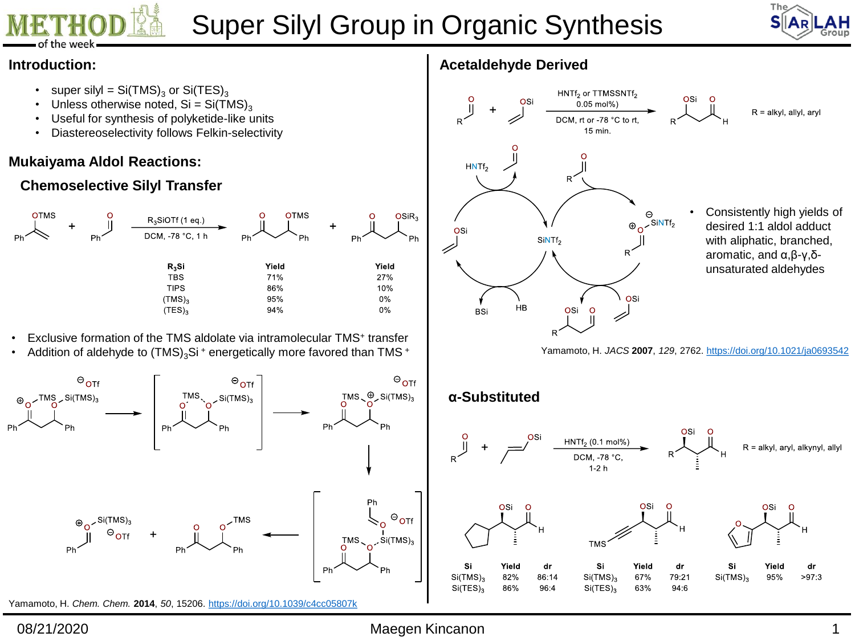



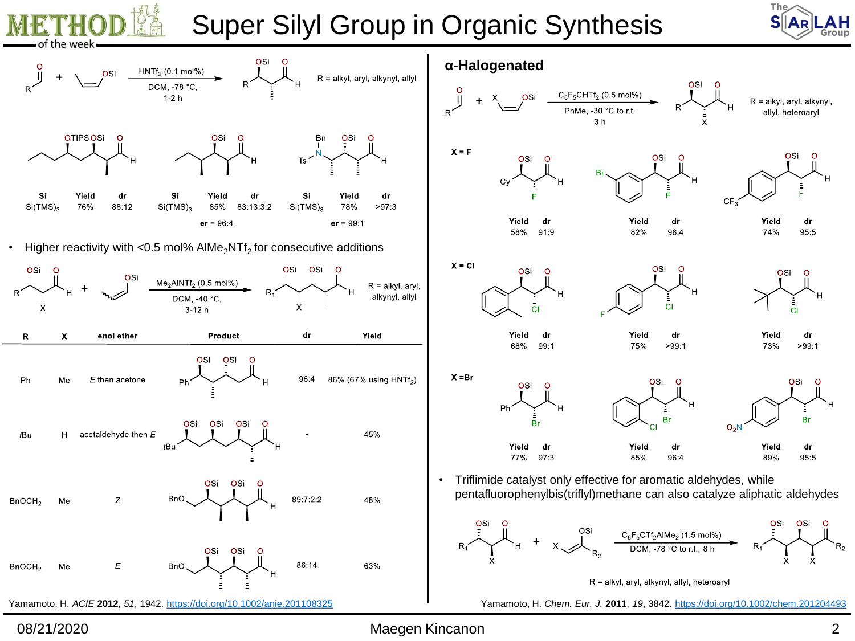![](_page_1_Picture_0.jpeg)

![](_page_1_Picture_2.jpeg)

![](_page_1_Figure_3.jpeg)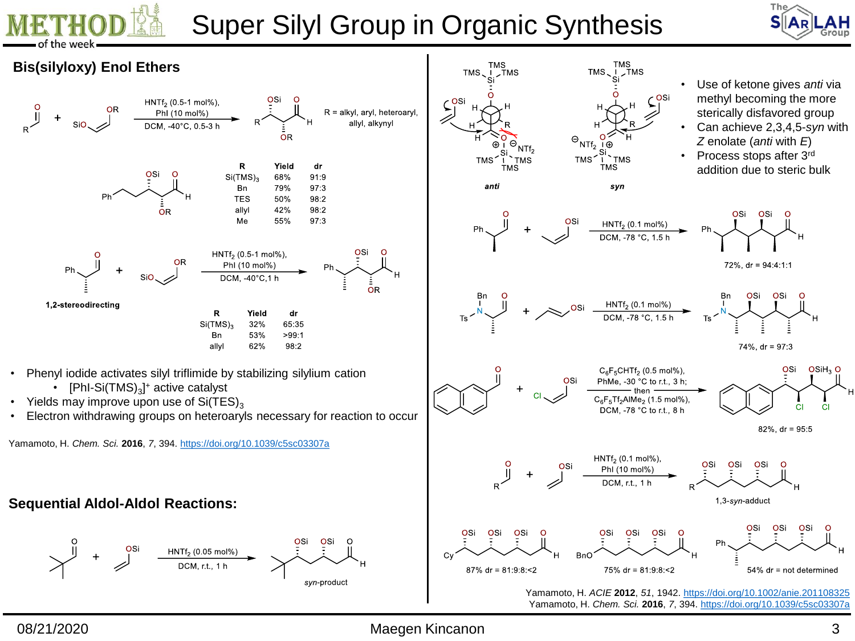![](_page_2_Picture_0.jpeg)

![](_page_2_Picture_2.jpeg)

![](_page_2_Figure_3.jpeg)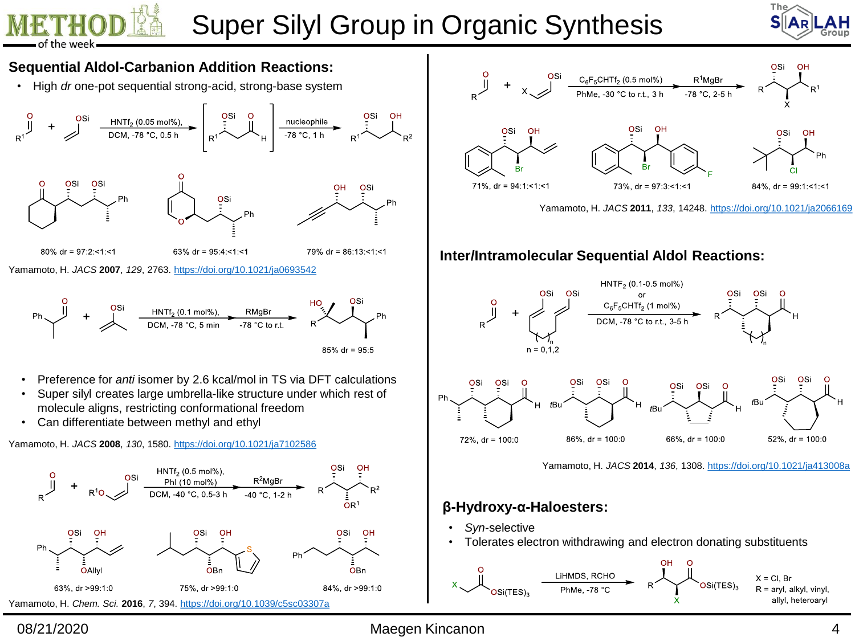![](_page_3_Picture_0.jpeg)

![](_page_3_Picture_2.jpeg)

![](_page_3_Figure_3.jpeg)

![](_page_3_Figure_4.jpeg)

Yamamoto, H. *JACS* **2011**, *133*, 14248. <https://doi.org/10.1021/ja2066169>

### **Inter/Intramolecular Sequential Aldol Reactions:**

![](_page_3_Figure_7.jpeg)

Yamamoto, H. *JACS* **2014**, *136*, 1308. <https://doi.org/10.1021/ja413008a>

### **β-Hydroxy-α-Haloesters:**

- *Syn*-selective
- Tolerates electron withdrawing and electron donating substituents

![](_page_3_Figure_12.jpeg)